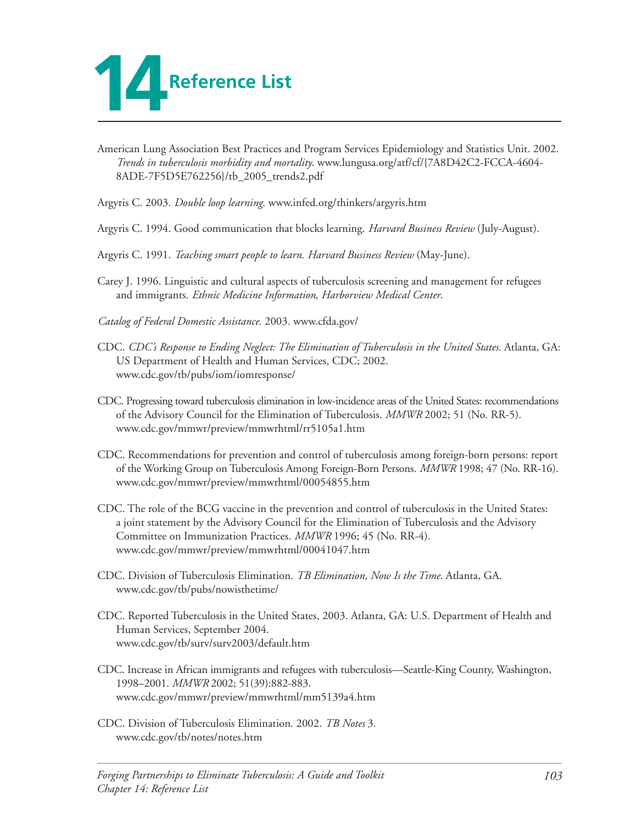

- American Lung Association Best Practices and Program Services Epidemiology and Statistics Unit. 2002. *Trends in tuberculosis morbidity and mortality*. www.lungusa.org/atf/cf/{7A8D42C2-FCCA-4604 8ADE-7F5D5E762256}/tb\_2005\_trends2.pdf
- Argyris C. 2003. *Double loop learning*. www.infed.org/thinkers/argyris.htm
- Argyris C. 1994. Good communication that blocks learning. *Harvard Business Review* (July-August).
- Argyris C. 1991. *Teaching smart people to learn*. *Harvard Business Review* (May-June).
- Carey J. 1996. Linguistic and cultural aspects of tuberculosis screening and management for refugees and immigrants. *Ethnic Medicine Information*, *Harborview Medical Center*.
- *Catalog of Federal Domestic Assistance*. 2003. www.cfda.gov/
- CDC. *CDC's Response to Ending Neglect: The Elimination of Tuberculosis in the United States.* Atlanta, GA: US Department of Health and Human Services, CDC; 2002. www.cdc.gov/tb/pubs/iom/iomresponse/
- CDC. Progressing toward tuberculosis elimination in low-incidence areas of the United States: recommendations of the Advisory Council for the Elimination of Tuberculosis. *MMWR* 2002; 51 (No. RR-5). www.cdc.gov/mmwr/preview/mmwrhtml/rr5105a1.htm
- CDC. Recommendations for prevention and control of tuberculosis among foreign-born persons: report of the Working Group on Tuberculosis Among Foreign-Born Persons. *MMWR* 1998; 47 (No. RR-16). www.cdc.gov/mmwr/preview/mmwrhtml/00054855.htm
- CDC. The role of the BCG vaccine in the prevention and control of tuberculosis in the United States: a joint statement by the Advisory Council for the Elimination of Tuberculosis and the Advisory Committee on Immunization Practices. *MMWR* 1996; 45 (No. RR-4). www.cdc.gov/mmwr/preview/mmwrhtml/00041047.htm
- CDC. Division of Tuberculosis Elimination. *TB Elimination, Now Is the Time*. Atlanta, GA. www.cdc.gov/tb/pubs/nowisthetime/
- CDC. Reported Tuberculosis in the United States, 2003. Atlanta, GA: U.S. Department of Health and Human Services, September 2004. www.cdc.gov/tb/surv/surv2003/default.htm
- CDC. Increase in African immigrants and refugees with tuberculosis—Seattle-King County, Washington, 1998–2001. *MMWR* 2002; 51(39):882-883. www.cdc.gov/mmwr/preview/mmwrhtml/mm5139a4.htm
- CDC. Division of Tuberculosis Elimination. 2002. *TB Notes* 3. www.cdc.gov/tb/notes/notes.htm